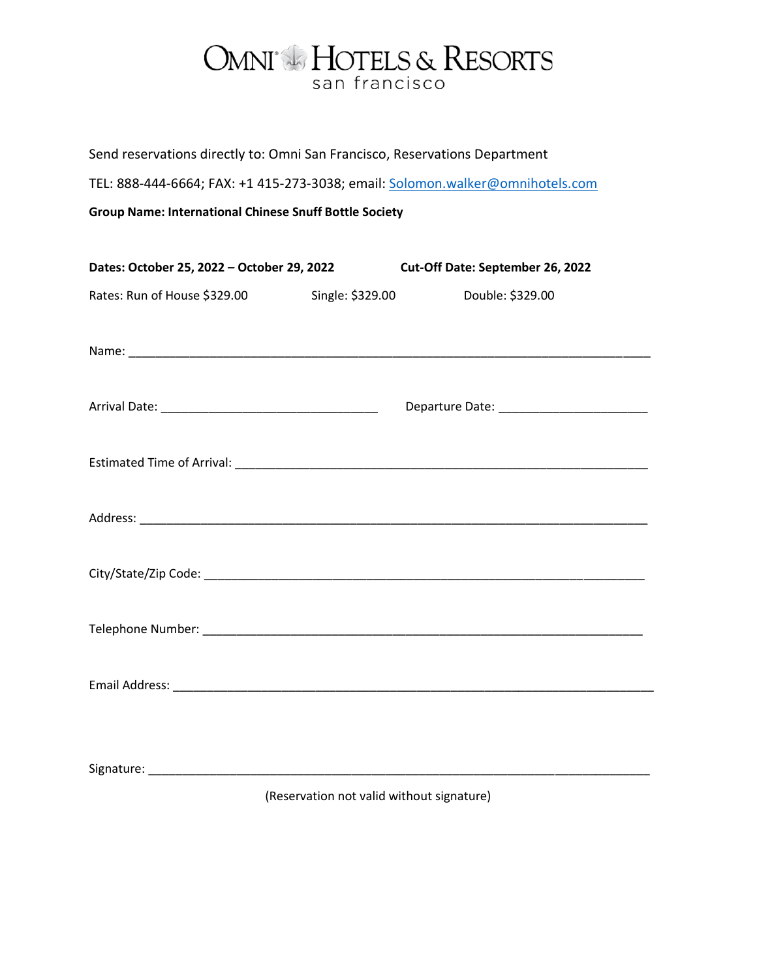## OMNI<sup>®</sup> HOTELS & RESORTS san francisco

Send reservations directly to: Omni San Francisco, Reservations Department

TEL: 888-444-6664; FAX: +1 415-273-3038; email: [Solomon.walker@omnihotels.com](mailto:Solomon.walker@omnihotels.com)

**Group Name: International Chinese Snuff Bottle Society**

| Dates: October 25, 2022 - October 29, 2022 |                  | Cut-Off Date: September 26, 2022 |
|--------------------------------------------|------------------|----------------------------------|
| Rates: Run of House \$329.00               | Single: \$329.00 | Double: \$329.00                 |
|                                            |                  |                                  |
|                                            |                  |                                  |
|                                            |                  |                                  |
|                                            |                  |                                  |
|                                            |                  |                                  |
|                                            |                  |                                  |
|                                            |                  |                                  |
|                                            |                  |                                  |
|                                            |                  |                                  |

(Reservation not valid without signature)